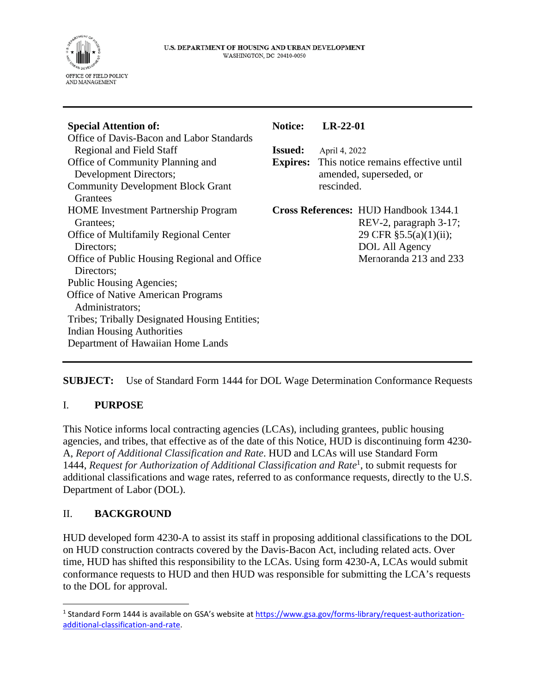

| <b>Special Attention of:</b>                  | <b>Notice:</b>  | $LR-22-01$                                                     |                                              |
|-----------------------------------------------|-----------------|----------------------------------------------------------------|----------------------------------------------|
| Office of Davis-Bacon and Labor Standards     |                 |                                                                |                                              |
| <b>Regional and Field Staff</b>               | <b>Issued:</b>  | April 4, 2022                                                  |                                              |
| Office of Community Planning and              | <b>Expires:</b> | This notice remains effective until<br>amended, superseded, or |                                              |
| Development Directors;                        |                 |                                                                |                                              |
| <b>Community Development Block Grant</b>      |                 | rescinded.                                                     |                                              |
| Grantees                                      |                 |                                                                |                                              |
| <b>HOME</b> Investment Partnership Program    |                 |                                                                | <b>Cross References: HUD Handbook 1344.1</b> |
| Grantees;                                     |                 |                                                                | REV-2, paragraph 3-17;                       |
| <b>Office of Multifamily Regional Center</b>  |                 |                                                                | 29 CFR §5.5(a)(1)(ii);                       |
| Directors;                                    |                 |                                                                | DOL All Agency                               |
| Office of Public Housing Regional and Office  |                 |                                                                | Memoranda 213 and 233                        |
| Directors;                                    |                 |                                                                |                                              |
| Public Housing Agencies;                      |                 |                                                                |                                              |
| <b>Office of Native American Programs</b>     |                 |                                                                |                                              |
| Administrators;                               |                 |                                                                |                                              |
| Tribes; Tribally Designated Housing Entities; |                 |                                                                |                                              |
| <b>Indian Housing Authorities</b>             |                 |                                                                |                                              |
| Department of Hawaiian Home Lands             |                 |                                                                |                                              |
|                                               |                 |                                                                |                                              |

**SUBJECT:** Use of Standard Form 1444 for DOL Wage Determination Conformance Requests

## I. **PURPOSE**

This Notice informs local contracting agencies (LCAs), including grantees, public housing agencies, and tribes, that effective as of the date of this Notice, HUD is discontinuing form 4230- A, *Report of Additional Classification and Rate*. HUD and LCAs will use Standard Form 1444, *Request for Authorization of Additional Classification and Rat[e](#page-0-0)*<sup>1</sup> , to submit requests for additional classifications and wage rates, referred to as conformance requests, directly to the U.S. Department of Labor (DOL).

#### II. **BACKGROUND**

HUD developed form 4230-A to assist its staff in proposing additional classifications to the DOL on HUD construction contracts covered by the Davis-Bacon Act, including related acts. Over time, HUD has shifted this responsibility to the LCAs. Using form 4230-A, LCAs would submit conformance requests to HUD and then HUD was responsible for submitting the LCA's requests to the DOL for approval.

<span id="page-0-0"></span><sup>&</sup>lt;sup>1</sup> Standard Form 1444 is available on GSA's website at [https://www.gsa.gov/forms-library/request-authorization](https://www.gsa.gov/forms-library/request-authorization-additional-classification-and-rate)[additional-classification-and-rate.](https://www.gsa.gov/forms-library/request-authorization-additional-classification-and-rate)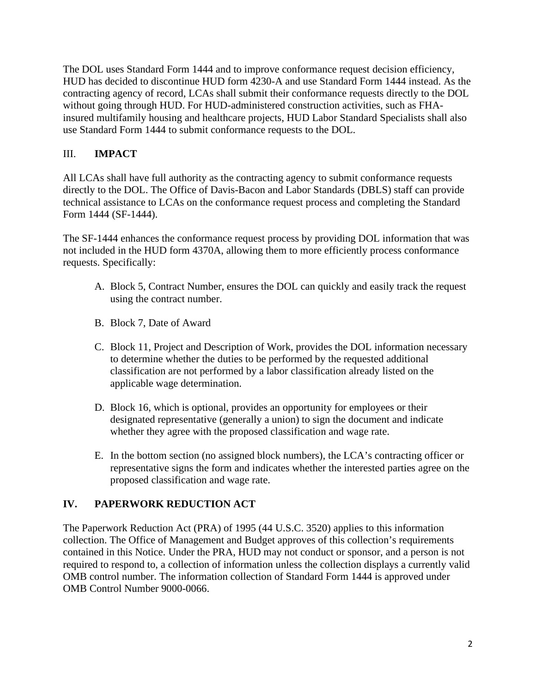The DOL uses Standard Form 1444 and to improve conformance request decision efficiency, HUD has decided to discontinue HUD form 4230-A and use Standard Form 1444 instead. As the contracting agency of record, LCAs shall submit their conformance requests directly to the DOL without going through HUD. For HUD-administered construction activities, such as FHAinsured multifamily housing and healthcare projects, HUD Labor Standard Specialists shall also use Standard Form 1444 to submit conformance requests to the DOL.

## III. **IMPACT**

All LCAs shall have full authority as the contracting agency to submit conformance requests directly to the DOL. The Office of Davis-Bacon and Labor Standards (DBLS) staff can provide technical assistance to LCAs on the conformance request process and completing the Standard Form 1444 (SF-1444).

The SF-1444 enhances the conformance request process by providing DOL information that was not included in the HUD form 4370A, allowing them to more efficiently process conformance requests. Specifically:

- A. Block 5, Contract Number, ensures the DOL can quickly and easily track the request using the contract number.
- B. Block 7, Date of Award
- C. Block 11, Project and Description of Work, provides the DOL information necessary to determine whether the duties to be performed by the requested additional classification are not performed by a labor classification already listed on the applicable wage determination.
- D. Block 16, which is optional, provides an opportunity for employees or their designated representative (generally a union) to sign the document and indicate whether they agree with the proposed classification and wage rate.
- E. In the bottom section (no assigned block numbers), the LCA's contracting officer or representative signs the form and indicates whether the interested parties agree on the proposed classification and wage rate.

# **IV. PAPERWORK REDUCTION ACT**

The Paperwork Reduction Act (PRA) of 1995 (44 U.S.C. 3520) applies to this information collection. The Office of Management and Budget approves of this collection's requirements contained in this Notice. Under the PRA, HUD may not conduct or sponsor, and a person is not required to respond to, a collection of information unless the collection displays a currently valid OMB control number. The information collection of Standard Form 1444 is approved under OMB Control Number 9000-0066.